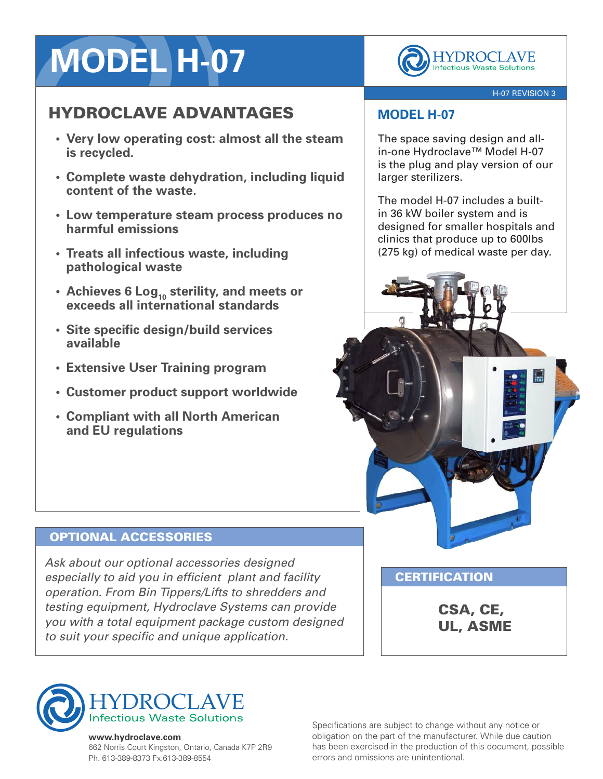# **MODEL H-07**

## HYDROCLAVE ADVANTAGES

- **• Very low operating cost: almost all the steam is recycled.**
- **• Complete waste dehydration, including liquid content of the waste.**
- **• Low temperature steam process produces no harmful emissions**
- **• Treats all infectious waste, including pathological waste**
- **• Achieves 6 Log<sup>10</sup> sterility, and meets or exceeds all international standards**
- **• Site specific design/build services available**
- **• Extensive User Training program**
- **• Customer product support worldwide**
- **• Compliant with all North American and EU regulations**



#### H-07 REVISION 3

## **MODEL H-07**

The space saving design and allin-one Hydroclave™ Model H-07 is the plug and play version of our larger sterilizers.

The model H-07 includes a builtin 36 kW boiler system and is designed for smaller hospitals and clinics that produce up to 600lbs (275 kg) of medical waste per day.



## OPTIONAL ACCESSORIES

*Ask about our optional accessories designed especially to aid you in efficient plant and facility operation. From Bin Tippers/Lifts to shredders and testing equipment, Hydroclave Systems can provide you with a total equipment package custom designed to suit your specific and unique application.*

**CERTIFICATION** 

CSA, CE, UL, ASME



#### **www.hydroclave.com**

662 Norris Court Kingston, Ontario, Canada K7P 2R9 Ph. 613-389-8373 Fx.613-389-8554

Specifications are subject to change without any notice or obligation on the part of the manufacturer. While due caution has been exercised in the production of this document, possible errors and omissions are unintentional.